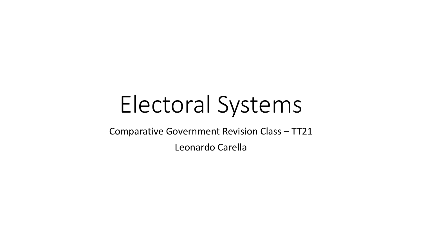# Electoral Systems

Comparative Government Revision Class – TT21

Leonardo Carella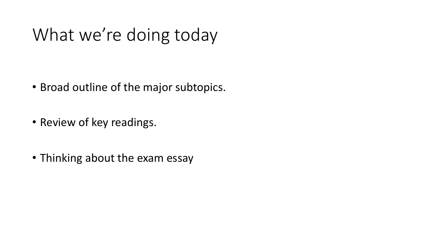# What we're doing today

- Broad outline of the major subtopics.
- Review of key readings.
- Thinking about the exam essay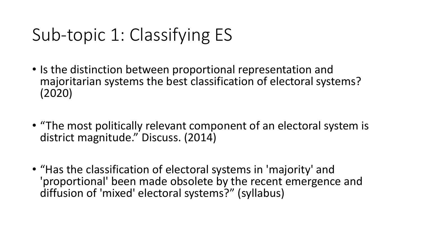# Sub-topic 1: Classifying ES

- Is the distinction between proportional representation and majoritarian systems the best classification of electoral systems? (2020)
- "The most politically relevant component of an electoral system is district magnitude." Discuss. (2014)
- "Has the classification of electoral systems in 'majority' and 'proportional' been made obsolete by the recent emergence and diffusion of 'mixed' electoral systems?" (syllabus)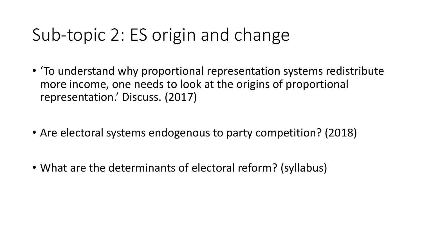## Sub-topic 2: ES origin and change

- 'To understand why proportional representation systems redistribute more income, one needs to look at the origins of proportional representation.' Discuss. (2017)
- Are electoral systems endogenous to party competition? (2018)
- What are the determinants of electoral reform? (syllabus)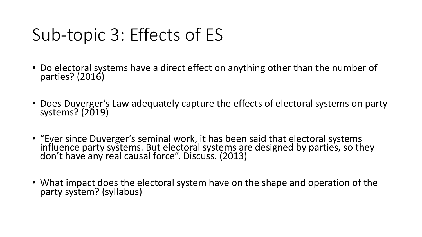# Sub-topic 3: Effects of ES

- Do electoral systems have a direct effect on anything other than the number of parties? (2016)
- Does Duverger's Law adequately capture the effects of electoral systems on party systems? (2019)
- "Ever since Duverger's seminal work, it has been said that electoral systems<br>influence party systems. But electoral systems are designed by parties, so they don't have any real causal force". Discuss. (2013)
- What impact does the electoral system have on the shape and operation of the party system? (syllabus)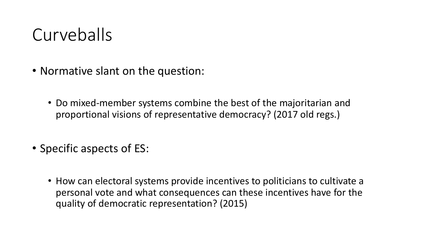### Curveballs

- Normative slant on the question:
	- Do mixed-member systems combine the best of the majoritarian and proportional visions of representative democracy? (2017 old regs.)
- Specific aspects of ES:
	- How can electoral systems provide incentives to politicians to cultivate a personal vote and what consequences can these incentives have for the quality of democratic representation? (2015)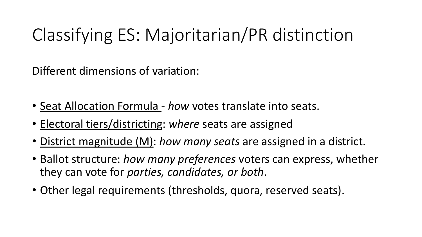Different dimensions of variation:

- Seat Allocation Formula *how* votes translate into seats.
- Electoral tiers/districting: *where* seats are assigned
- District magnitude (M): *how many seats* are assigned in a district.
- Ballot structure: *how many preferences* voters can express, whether they can vote for *parties, candidates, or both*.
- Other legal requirements (thresholds, quora, reserved seats).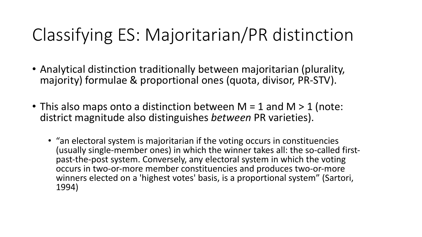- Analytical distinction traditionally between majoritarian (plurality, majority) formulae & proportional ones (quota, divisor, PR-STV).
- This also maps onto a distinction between  $M = 1$  and  $M > 1$  (note: district magnitude also distinguishes *between* PR varieties).
	- "an electoral system is majoritarian if the voting occurs in constituencies (usually single-member ones) in which the winner takes all: the so-called first-<br>past-the-post system. Conversely, any electoral system in which the voting occurs in two-or-more member constituencies and produces two-or-more winners elected on a 'highest votes' basis, is a proportional system" (Sartori, 1994)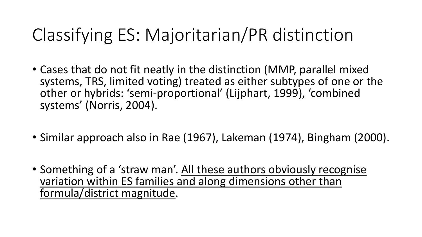- Cases that do not fit neatly in the distinction (MMP, parallel mixed systems, TRS, limited voting) treated as either subtypes of one or the other or hybrids: 'semi-proportional' (Lijphart, 1999), 'combined systems' (Norris, 2004).
- Similar approach also in Rae (1967), Lakeman (1974), Bingham (2000).
- Something of a 'straw man'. All these authors obviously recognise variation within ES families and along dimensions other than formula/district magnitude.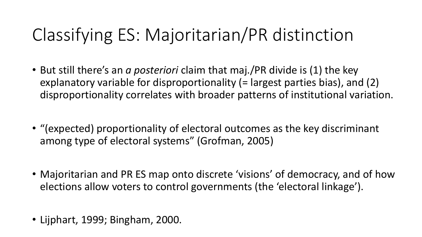- But still there's an *a posteriori* claim that maj./PR divide is (1) the key explanatory variable for disproportionality (= largest parties bias), and (2) disproportionality correlates with broader patterns of institutional variation.
- "(expected) proportionality of electoral outcomes as the key discriminant among type of electoral systems" (Grofman, 2005)
- Majoritarian and PR ES map onto discrete 'visions' of democracy, and of how elections allow voters to control governments (the 'electoral linkage').
- Lijphart, 1999; Bingham, 2000.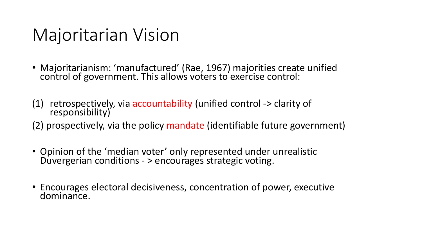### Majoritarian Vision

- Majoritarianism: 'manufactured' (Rae, 1967) majorities create unified control of government. This allows voters to exercise control:
- (1) retrospectively, via accountability (unified control -> clarity of responsibility)
- (2) prospectively, via the policy mandate (identifiable future government)
- Opinion of the 'median voter' only represented under unrealistic Duvergerian conditions - > encourages strategic voting.
- Encourages electoral decisiveness, concentration of power, executive dominance.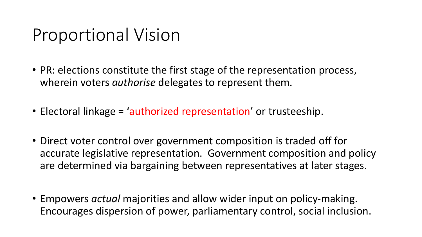### Proportional Vision

- PR: elections constitute the first stage of the representation process, wherein voters *authorise* delegates to represent them.
- Electoral linkage = 'authorized representation' or trusteeship.
- Direct voter control over government composition is traded off for accurate legislative representation. Government composition and policy are determined via bargaining between representatives at later stages.
- Empowers *actual* majorities and allow wider input on policy-making. Encourages dispersion of power, parliamentary control, social inclusion.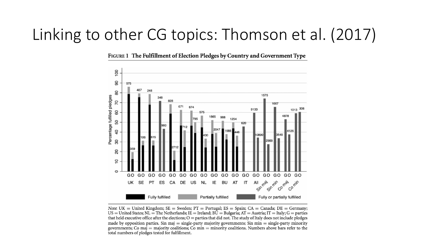#### Linking to other CG topics: Thomson et al. (2017)

FIGURE 1 The Fulfillment of Election Pledges by Country and Government Type



Note: UK = United Kingdom; SE = Sweden; PT = Portugal; ES = Spain; CA = Canada; DE = Germany;  $US =$  United States; NL = The Netherlands; IE = Ireland; BU = Bulgaria; AT = Austria; IT = Italy; G = parties that held executive office after the elections;  $O =$  parties that did not. The study of Italy does not include pledges made by opposition parties. Sin maj = single-party majority governments; Sin min = single-party minority governments; Co maj = majority coalitions; Co min = minority coalitions. Numbers above bars refer to the total numbers of pledges tested for fulfillment.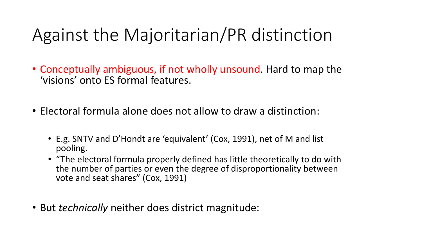### Against the Majoritarian/PR distinction

- Conceptually ambiguous, if not wholly unsound. Hard to map the 'visions' onto ES formal features.
- Electoral formula alone does not allow to draw a distinction:
	- E.g. SNTV and D'Hondt are 'equivalent' (Cox, 1991), net of M and list pooling.
	- "The electoral formula properly defined has little theoretically to do with the number of parties or even the degree of disproportionality between vote and seat shares" (Cox, 1991)
- But *technically* neither does district magnitude: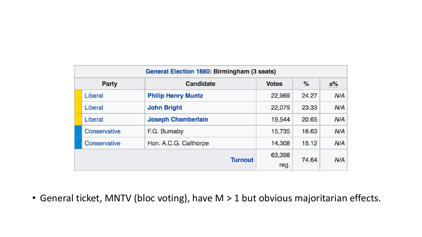| <b>General Election 1880: Birmingham (3 seats)</b> |              |                           |              |       |       |
|----------------------------------------------------|--------------|---------------------------|--------------|-------|-------|
| <b>Party</b>                                       |              | <b>Candidate</b>          | <b>Votes</b> | $\%$  | $±\%$ |
|                                                    | Liberal      | <b>Philip Henry Muntz</b> | 22,969       | 24.27 | N/A   |
|                                                    | Liberal      | <b>John Bright</b>        | 22,079       | 23.33 | N/A   |
|                                                    | Liberal      | <b>Joseph Chamberlain</b> | 19,544       | 20.65 | N/A   |
|                                                    | Conservative | F.G. Burnaby              | 15,735       | 16.63 | N/A   |
|                                                    | Conservative | Hon. A.C.G. Calthorpe     | 14,308       | 15.12 | N/A   |
| <b>Turnout</b>                                     |              |                           | 63,398       | 74.64 | N/A   |
|                                                    |              |                           | reg.         |       |       |

• General ticket, MNTV (bloc voting), have M > 1 but obvious majoritarian effects.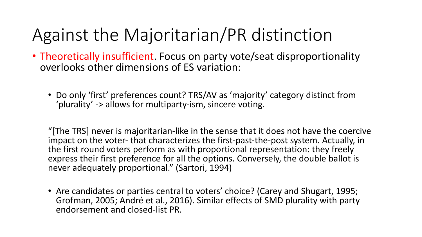## Against the Majoritarian/PR distinction

- Theoretically insufficient. Focus on party vote/seat disproportionality overlooks other dimensions of ES variation:
	- Do only 'first' preferences count? TRS/AV as 'majority' category distinct from 'plurality' -> allows for multiparty-ism, sincere voting.

"[The TRS] never is majoritarian-like in the sense that it does not have the coercive impact on the voter- that characterizes the first-past-the-post system. Actually, in the first round voters perform as with proportional representation: they freely express their first preference for all the options. Conversely, the double ballot is never adequately proportional." (Sartori, 1994)

• Are candidates or parties central to voters' choice? (Carey and Shugart, 1995; Grofman, 2005; André et al., 2016). Similar effects of SMD plurality with party endorsement and closed-list PR.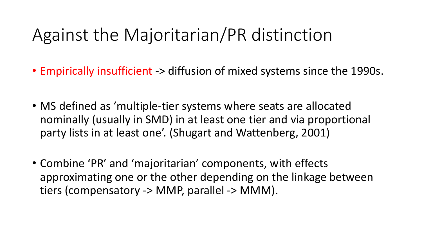### Against the Majoritarian/PR distinction

- Empirically insufficient -> diffusion of mixed systems since the 1990s.
- MS defined as 'multiple-tier systems where seats are allocated nominally (usually in SMD) in at least one tier and via proportional party lists in at least one'. (Shugart and Wattenberg, 2001)
- Combine 'PR' and 'majoritarian' components, with effects approximating one or the other depending on the linkage between tiers (compensatory -> MMP, parallel -> MMM).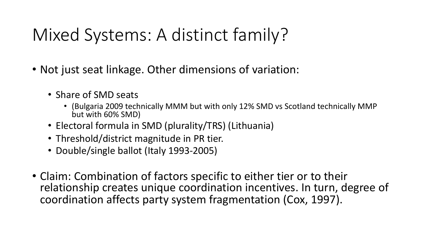# Mixed Systems: A distinct family?

- Not just seat linkage. Other dimensions of variation:
	- Share of SMD seats
		- (Bulgaria 2009 technically MMM but with only 12% SMD vs Scotland technically MMP but with 60% SMD)
	- Electoral formula in SMD (plurality/TRS) (Lithuania)
	- Threshold/district magnitude in PR tier.
	- Double/single ballot (Italy 1993-2005)
- Claim: Combination of factors specific to either tier or to their relationship creates unique coordination incentives. In turn, degree of coordination affects party system fragmentation (Cox, 1997).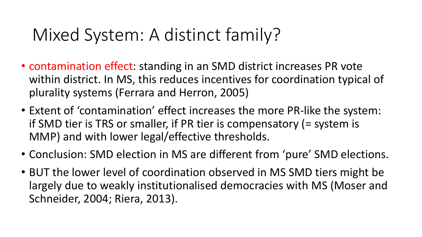### Mixed System: A distinct family?

- contamination effect: standing in an SMD district increases PR vote within district. In MS, this reduces incentives for coordination typical of plurality systems (Ferrara and Herron, 2005)
- Extent of 'contamination' effect increases the more PR-like the system: if SMD tier is TRS or smaller, if PR tier is compensatory (= system is MMP) and with lower legal/effective thresholds.
- Conclusion: SMD election in MS are different from 'pure' SMD elections.
- BUT the lower level of coordination observed in MS SMD tiers might be largely due to weakly institutionalised democracies with MS (Moser and Schneider, 2004; Riera, 2013).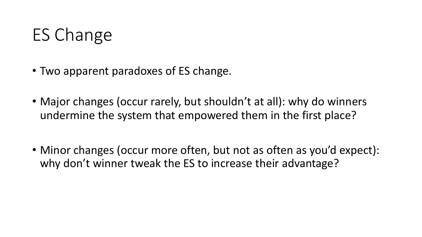## ES Change

- Two apparent paradoxes of ES change.
- Major changes (occur rarely, but shouldn't at all): why do winners undermine the system that empowered them in the first place?
- Minor changes (occur more often, but not as often as you'd expect): why don't winner tweak the ES to increase their advantage?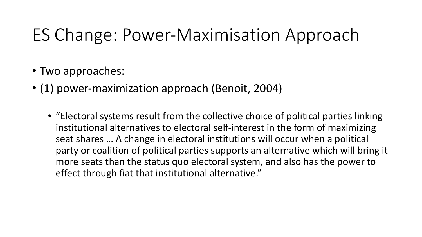### ES Change: Power-Maximisation Approach

- Two approaches:
- (1) power-maximization approach (Benoit, 2004)
	- "Electoral systems result from the collective choice of political parties linking institutional alternatives to electoral self-interest in the form of maximizing seat shares … A change in electoral institutions will occur when a political party or coalition of political parties supports an alternative which will bring it more seats than the status quo electoral system, and also has the power to effect through fiat that institutional alternative."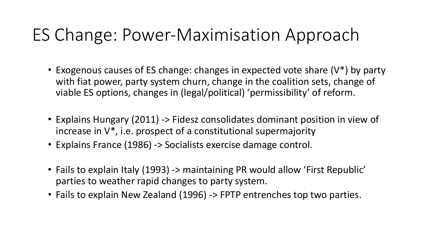### ES Change: Power-Maximisation Approach

- Exogenous causes of ES change: changes in expected vote share (V<sup>\*</sup>) by party with fiat power, party system churn, change in the coalition sets, change of viable ES options, changes in (legal/political) 'permissibility' of reform.
- Explains Hungary (2011) -> Fidesz consolidates dominant position in view of increase in V\*, i.e. prospect of a constitutional supermajority
- Explains France (1986) -> Socialists exercise damage control.
- Fails to explain Italy (1993) -> maintaining PR would allow 'First Republic' parties to weather rapid changes to party system.
- Fails to explain New Zealand (1996) -> FPTP entrenches top two parties.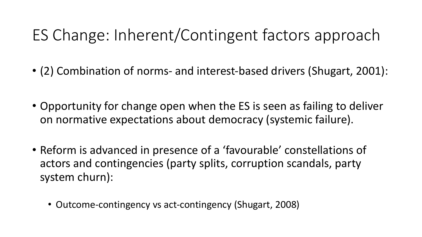- (2) Combination of norms- and interest-based drivers (Shugart, 2001):
- Opportunity for change open when the ES is seen as failing to deliver on normative expectations about democracy (systemic failure).
- Reform is advanced in presence of a 'favourable' constellations of actors and contingencies (party splits, corruption scandals, party system churn):
	- Outcome-contingency vs act-contingency (Shugart, 2008)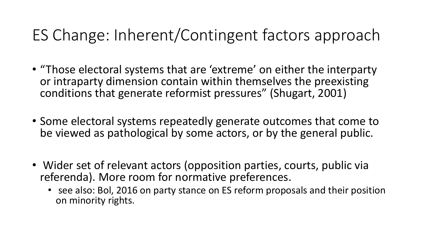- "Those electoral systems that are 'extreme' on either the interparty or intraparty dimension contain within themselves the preexisting conditions that generate reformist pressures" (Shugart, 2001)
- Some electoral systems repeatedly generate outcomes that come to be viewed as pathological by some actors, or by the general public.
- Wider set of relevant actors (opposition parties, courts, public via referenda). More room for normative preferences.
	- see also: Bol, 2016 on party stance on ES reform proposals and their position on minority rights.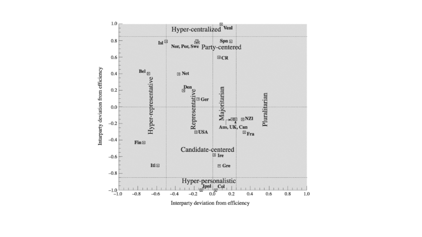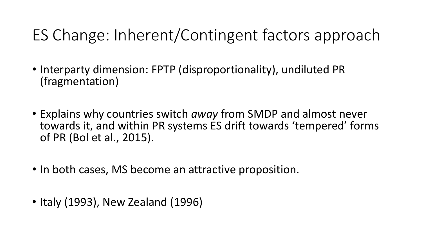- Interparty dimension: FPTP (disproportionality), undiluted PR (fragmentation)
- Explains why countries switch *away* from SMDP and almost never towards it, and within PR systems ES drift towards 'tempered' forms of PR (Bol et al., 2015).
- In both cases, MS become an attractive proposition.
- Italy (1993), New Zealand (1996)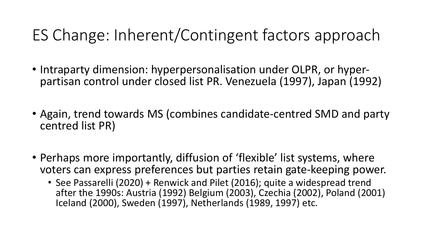- Intraparty dimension: hyperpersonalisation under OLPR, or hyper- partisan control under closed list PR. Venezuela (1997), Japan (1992)
- Again, trend towards MS (combines candidate-centred SMD and party centred list PR)
- Perhaps more importantly, diffusion of 'flexible' list systems, where voters can express preferences but parties retain gate-keeping power.
	- See Passarelli (2020) + Renwick and Pilet (2016); quite a widespread trend after the 1990s: Austria (1992) Belgium (2003), Czechia (2002), Poland (2001) Iceland (2000), Sweden (1997), Netherlands (1989, 1997) etc.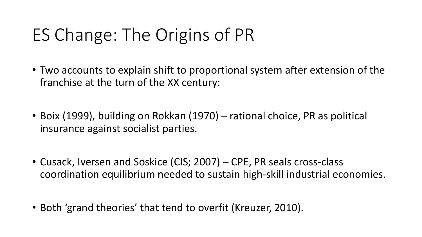# ES Change: The Origins of PR

- Two accounts to explain shift to proportional system after extension of the franchise at the turn of the XX century:
- Boix (1999), building on Rokkan (1970) rational choice, PR as political insurance against socialist parties.
- Cusack, Iversen and Soskice (CIS; 2007) CPE, PR seals cross-class coordination equilibrium needed to sustain high-skill industrial economies.
- Both 'grand theories' that tend to overfit (Kreuzer, 2010).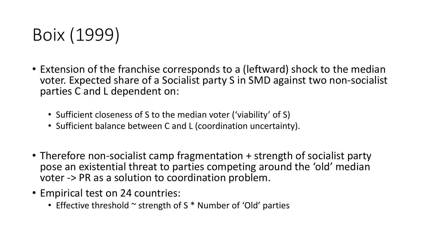

- Extension of the franchise corresponds to a (leftward) shock to the median voter. Expected share of a Socialist party S in SMD against two non-socialist parties C and L dependent on:
	- Sufficient closeness of S to the median voter ('viability' of S)
	- Sufficient balance between C and L (coordination uncertainty).
- Therefore non-socialist camp fragmentation + strength of socialist party pose an existential threat to parties competing around the 'old' median voter -> PR as a solution to coordination problem.
- Empirical test on 24 countries:
	- Effective threshold  $\sim$  strength of S  $*$  Number of 'Old' parties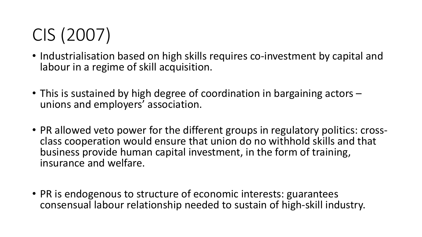# CIS (2007)

- Industrialisation based on high skills requires co-investment by capital and labour in a regime of skill acquisition.
- This is sustained by high degree of coordination in bargaining actors unions and employers' association.
- PR allowed veto power for the different groups in regulatory politics: cross- class cooperation would ensure that union do no withhold skills and that business provide human capital investment, in the form of training, insurance and welfare.
- PR is endogenous to structure of economic interests: guarantees consensual labour relationship needed to sustain of high-skill industry.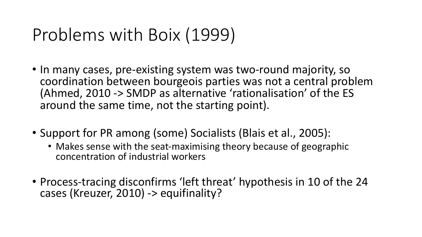### Problems with Boix (1999)

- In many cases, pre-existing system was two-round majority, so coordination between bourgeois parties was not a central problem (Ahmed, 2010 -> SMDP as alternative 'rationalisation' of the ES around the same time, not the starting point).
- Support for PR among (some) Socialists (Blais et al., 2005):
	- Makes sense with the seat-maximising theory because of geographic concentration of industrial workers
- Process-tracing disconfirms 'left threat' hypothesis in 10 of the 24 cases (Kreuzer, 2010) -> equifinality?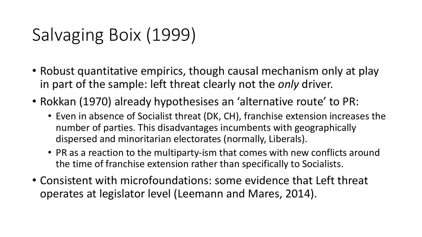# Salvaging Boix (1999)

- Robust quantitative empirics, though causal mechanism only at play in part of the sample: left threat clearly not the *only* driver.
- Rokkan (1970) already hypothesises an 'alternative route' to PR:
	- Even in absence of Socialist threat (DK, CH), franchise extension increases the number of parties. This disadvantages incumbents with geographically dispersed and minoritarian electorates (normally, Liberals).
	- PR as a reaction to the multiparty-ism that comes with new conflicts around the time of franchise extension rather than specifically to Socialists.
- Consistent with microfoundations: some evidence that Left threat operates at legislator level (Leemann and Mares, 2014).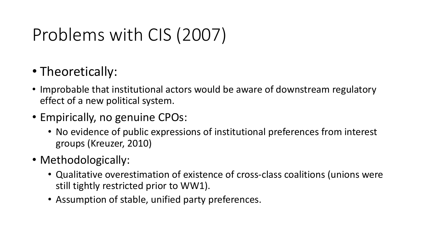# Problems with CIS (2007)

- Theoretically:
- Improbable that institutional actors would be aware of downstream regulatory effect of a new political system.
- Empirically, no genuine CPOs:
	- No evidence of public expressions of institutional preferences from interest groups (Kreuzer, 2010)
- Methodologically:
	- Qualitative overestimation of existence of cross-class coalitions (unions were still tightly restricted prior to WW1).
	- Assumption of stable, unified party preferences.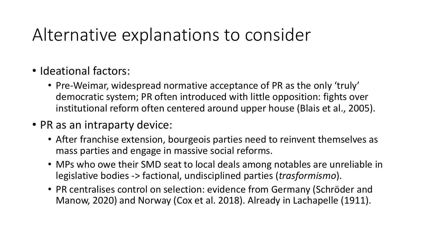### Alternative explanations to consider

- Ideational factors:
	- Pre-Weimar, widespread normative acceptance of PR as the only 'truly' democratic system; PR often introduced with little opposition: fights over institutional reform often centered around upper house (Blais et al., 2005).
- PR as an intraparty device:
	- After franchise extension, bourgeois parties need to reinvent themselves as mass parties and engage in massive social reforms.
	- MPs who owe their SMD seat to local deals among notables are unreliable in legislative bodies -> factional, undisciplined parties (*trasformismo*).
	- PR centralises control on selection: evidence from Germany (Schröder and Manow, 2020) and Norway (Cox et al. 2018). Already in Lachapelle (1911).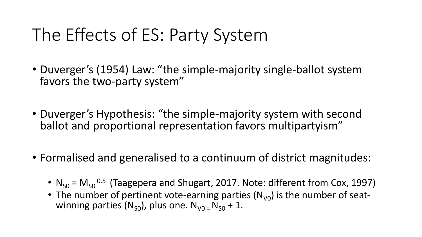# The Effects of ES: Party System

- Duverger's (1954) Law: "the simple-majority single-ballot system favors the two-party system"
- Duverger's Hypothesis: "the simple-majority system with second ballot and proportional representation favors multipartyism"
- Formalised and generalised to a continuum of district magnitudes:
	- $N_{S0}$  =  $M_{S0}$ <sup>0.5</sup> (Taagepera and Shugart, 2017. Note: different from Cox, 1997)
	- The number of pertinent vote-earning parties  $(N_{V0})$  is the number of seat-<br>winning parties  $(N_{SO})$ , plus one.  $N_{V0} = N_{SO} + 1$ .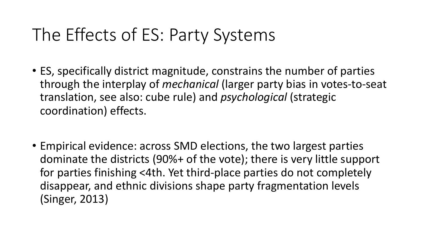## The Effects of ES: Party Systems

- ES, specifically district magnitude, constrains the number of parties through the interplay of *mechanical* (larger party bias in votes-to-seat translation, see also: cube rule) and *psychological* (strategic coordination) effects.
- Empirical evidence: across SMD elections, the two largest parties dominate the districts (90%+ of the vote); there is very little support for parties finishing <4th. Yet third-place parties do not completely disappear, and ethnic divisions shape party fragmentation levels (Singer, 2013)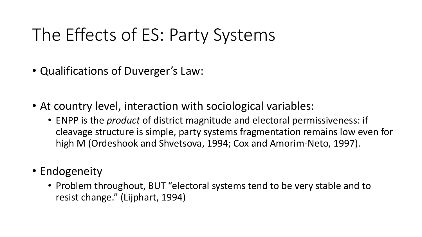# The Effects of ES: Party Systems

- Qualifications of Duverger's Law:
- At country level, interaction with sociological variables:
	- ENPP is the *product* of district magnitude and electoral permissiveness: if cleavage structure is simple, party systems fragmentation remains low even for high M (Ordeshook and Shvetsova, 1994; Cox and Amorim-Neto, 1997).
- Endogeneity
	- Problem throughout, BUT "electoral systems tend to be very stable and to resist change." (Lijphart, 1994)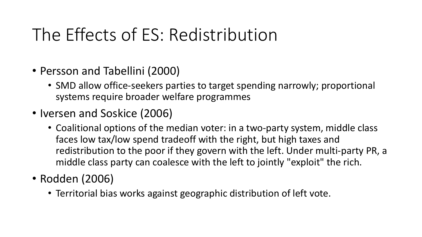# The Effects of ES: Redistribution

- Persson and Tabellini (2000)
	- SMD allow office-seekers parties to target spending narrowly; proportional systems require broader welfare programmes
- Iversen and Soskice (2006)
	- Coalitional options of the median voter: in a two-party system, middle class faces low tax/low spend tradeoff with the right, but high taxes and redistribution to the poor if they govern with the left. Under multi-party PR, a middle class party can coalesce with the left to jointly "exploit" the rich.
- Rodden (2006)
	- Territorial bias works against geographic distribution of left vote.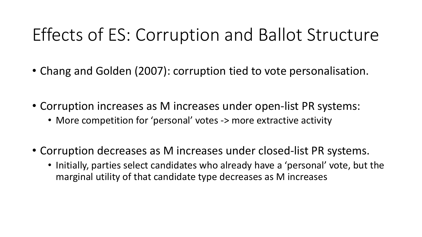### Effects of ES: Corruption and Ballot Structure

- Chang and Golden (2007): corruption tied to vote personalisation.
- Corruption increases as M increases under open-list PR systems:
	- More competition for 'personal' votes -> more extractive activity
- Corruption decreases as M increases under closed-list PR systems.
	- Initially, parties select candidates who already have a 'personal' vote, but the marginal utility of that candidate type decreases as M increases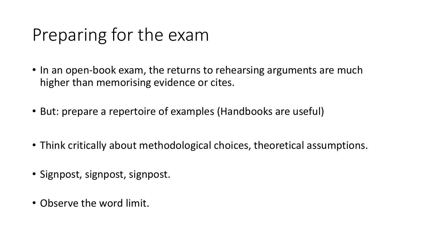### Preparing for the exam

- In an open-book exam, the returns to rehearsing arguments are much higher than memorising evidence or cites.
- But: prepare a repertoire of examples (Handbooks are useful)
- Think critically about methodological choices, theoretical assumptions.
- Signpost, signpost, signpost.
- Observe the word limit.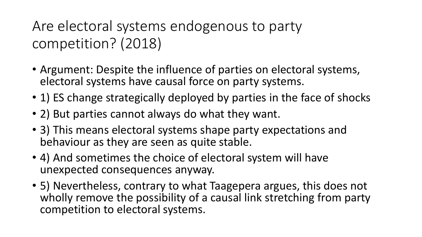#### Are electoral systems endogenous to party competition? (2018)

- Argument: Despite the influence of parties on electoral systems, electoral systems have causal force on party systems.
- 1) ES change strategically deployed by parties in the face of shocks
- 2) But parties cannot always do what they want.
- 3) This means electoral systems shape party expectations and behaviour as they are seen as quite stable.
- 4) And sometimes the choice of electoral system will have unexpected consequences anyway.
- 5) Nevertheless, contrary to what Taagepera argues, this does not wholly remove the possibility of a causal link stretching from party competition to electoral systems.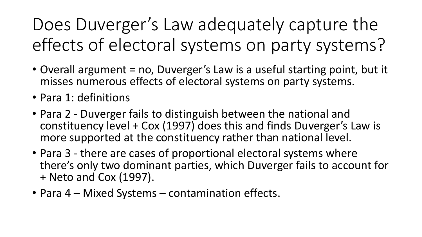Does Duverger's Law adequately capture the effects of electoral systems on party systems?

- Overall argument = no, Duverger's Law is a useful starting point, but it misses numerous effects of electoral systems on party systems.
- Para 1: definitions
- Para 2 Duverger fails to distinguish between the national and constituency level + Cox (1997) does this and finds Duverger's Law is more supported at the constituency rather than national level.
- Para 3 there are cases of proportional electoral systems where there's only two dominant parties, which Duverger fails to account for + Neto and Cox (1997).
- Para 4 Mixed Systems contamination effects.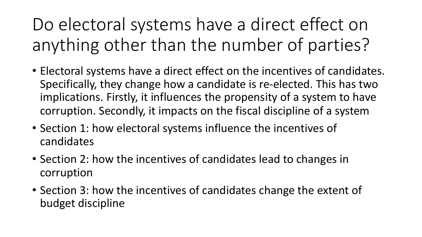Do electoral systems have a direct effect on anything other than the number of parties?

- Electoral systems have a direct effect on the incentives of candidates. Specifically, they change how a candidate is re-elected. This has two implications. Firstly, it influences the propensity of a system to have corruption. Secondly, it impacts on the fiscal discipline of a system
- Section 1: how electoral systems influence the incentives of candidates
- Section 2: how the incentives of candidates lead to changes in corruption
- Section 3: how the incentives of candidates change the extent of budget discipline